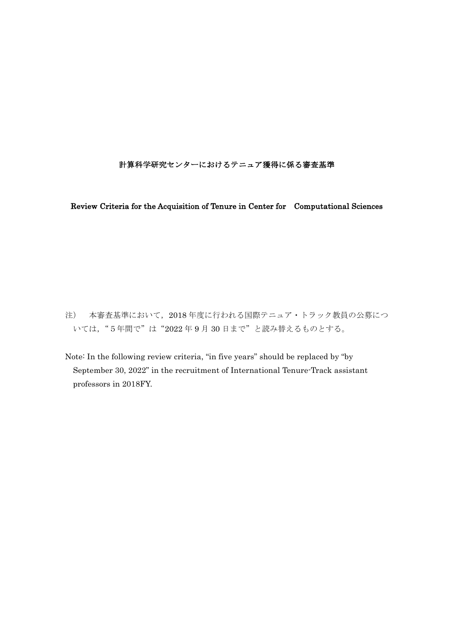## 計算科学研究センターにおけるテニュア獲得に係る審査基準

Review Criteria for the Acquisition of Tenure in Center for Computational Sciences

注) 本審査基準において,2018 年度に行われる国際テニュア・トラック教員の公募につ いては,"5年間で"は"2022 年 9 月 30 日まで"と読み替えるものとする。

Note: In the following review criteria, "in five years" should be replaced by "by September 30, 2022" in the recruitment of International Tenure-Track assistant professors in 2018FY.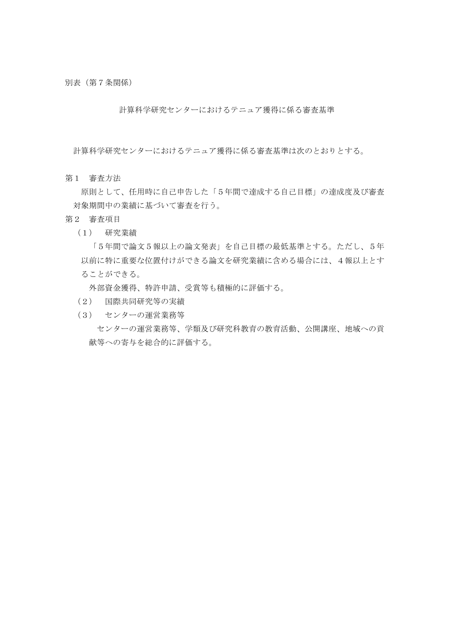別表(第7条関係)

計算科学研究センターにおけるテニュア獲得に係る審査基準

計算科学研究センターにおけるテニュア獲得に係る審査基準は次のとおりとする。

第1 審査方法

 原則として、任用時に自己申告した「5年間で達成する自己目標」の達成度及び審査 対象期間中の業績に基づいて審査を行う。

- 第2 審査項目
	- (1) 研究業績

 「5年間で論文5報以上の論文発表」を自己目標の最低基準とする。ただし、5年 以前に特に重要な位置付けができる論文を研究業績に含める場合には、4報以上とす ることができる。

 外部資金獲得、特許申請、受賞等も積極的に評価する。

- (2) 国際共同研究等の実績
- (3) センターの運営業務等

 センターの運営業務等、学類及び研究科教育の教育活動、公開講座、地域への貢 献等への寄与を総合的に評価する。